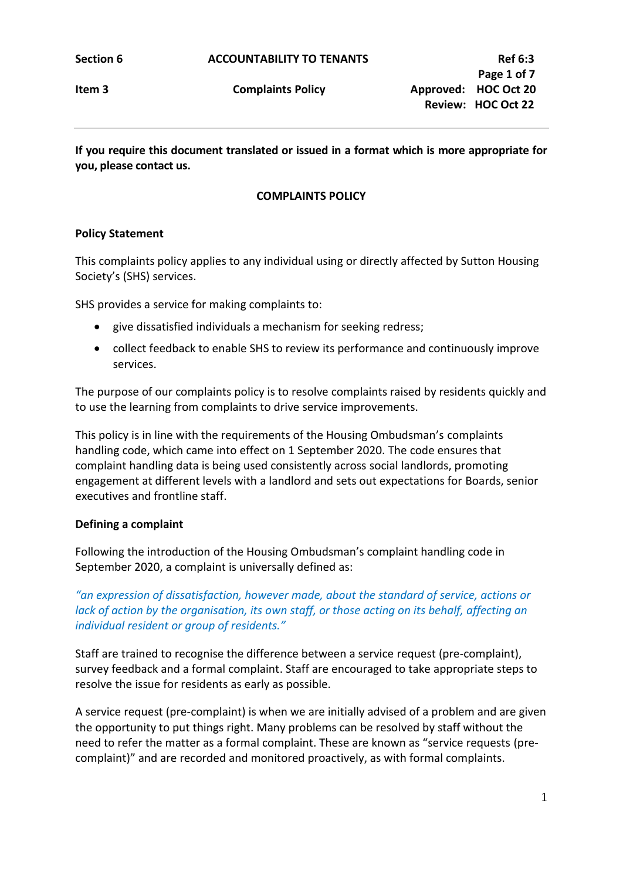**If you require this document translated or issued in a format which is more appropriate for you, please contact us.**

### **COMPLAINTS POLICY**

#### **Policy Statement**

This complaints policy applies to any individual using or directly affected by Sutton Housing Society's (SHS) services.

SHS provides a service for making complaints to:

- give dissatisfied individuals a mechanism for seeking redress;
- collect feedback to enable SHS to review its performance and continuously improve services.

The purpose of our complaints policy is to resolve complaints raised by residents quickly and to use the learning from complaints to drive service improvements.

This policy is in line with the requirements of the Housing Ombudsman's complaints handling code, which came into effect on 1 September 2020. The code ensures that complaint handling data is being used consistently across social landlords, promoting engagement at different levels with a landlord and sets out expectations for Boards, senior executives and frontline staff.

#### **Defining a complaint**

Following the introduction of the Housing Ombudsman's complaint handling code in September 2020, a complaint is universally defined as:

*"an expression of dissatisfaction, however made, about the standard of service, actions or lack of action by the organisation, its own staff, or those acting on its behalf, affecting an individual resident or group of residents."*

Staff are trained to recognise the difference between a service request (pre-complaint), survey feedback and a formal complaint. Staff are encouraged to take appropriate steps to resolve the issue for residents as early as possible.

A service request (pre-complaint) is when we are initially advised of a problem and are given the opportunity to put things right. Many problems can be resolved by staff without the need to refer the matter as a formal complaint. These are known as "service requests (precomplaint)" and are recorded and monitored proactively, as with formal complaints.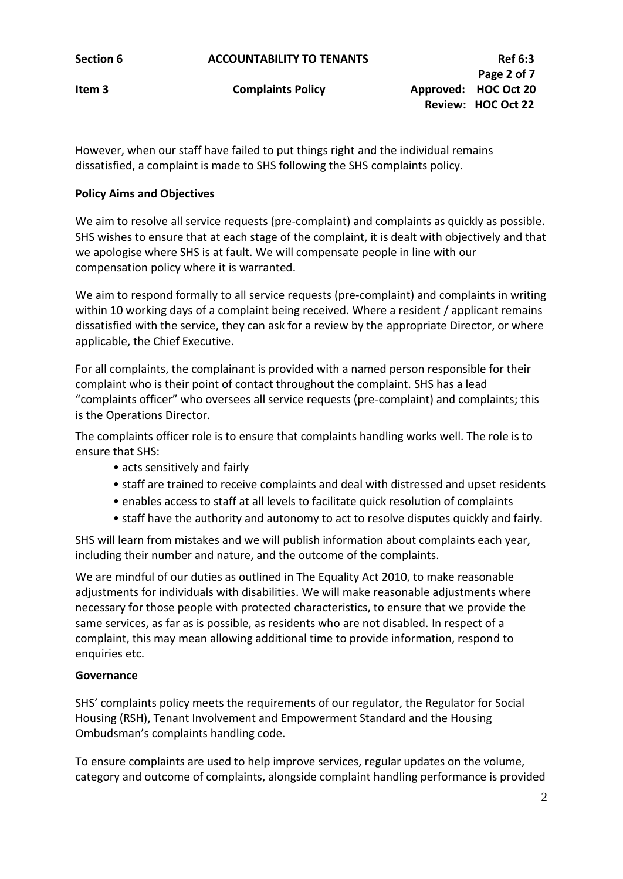However, when our staff have failed to put things right and the individual remains dissatisfied, a complaint is made to SHS following the SHS complaints policy.

# **Policy Aims and Objectives**

We aim to resolve all service requests (pre-complaint) and complaints as quickly as possible. SHS wishes to ensure that at each stage of the complaint, it is dealt with objectively and that we apologise where SHS is at fault. We will compensate people in line with our compensation policy where it is warranted.

We aim to respond formally to all service requests (pre-complaint) and complaints in writing within 10 working days of a complaint being received. Where a resident / applicant remains dissatisfied with the service, they can ask for a review by the appropriate Director, or where applicable, the Chief Executive.

For all complaints, the complainant is provided with a named person responsible for their complaint who is their point of contact throughout the complaint. SHS has a lead "complaints officer" who oversees all service requests (pre-complaint) and complaints; this is the Operations Director.

The complaints officer role is to ensure that complaints handling works well. The role is to ensure that SHS:

- acts sensitively and fairly
- staff are trained to receive complaints and deal with distressed and upset residents
- enables access to staff at all levels to facilitate quick resolution of complaints
- staff have the authority and autonomy to act to resolve disputes quickly and fairly.

SHS will learn from mistakes and we will publish information about complaints each year, including their number and nature, and the outcome of the complaints.

We are mindful of our duties as outlined in The Equality Act 2010, to make reasonable adjustments for individuals with disabilities. We will make reasonable adjustments where necessary for those people with protected characteristics, to ensure that we provide the same services, as far as is possible, as residents who are not disabled. In respect of a complaint, this may mean allowing additional time to provide information, respond to enquiries etc.

# **Governance**

SHS' complaints policy meets the requirements of our regulator, the Regulator for Social Housing (RSH), Tenant Involvement and Empowerment Standard and the Housing Ombudsman's complaints handling code.

To ensure complaints are used to help improve services, regular updates on the volume, category and outcome of complaints, alongside complaint handling performance is provided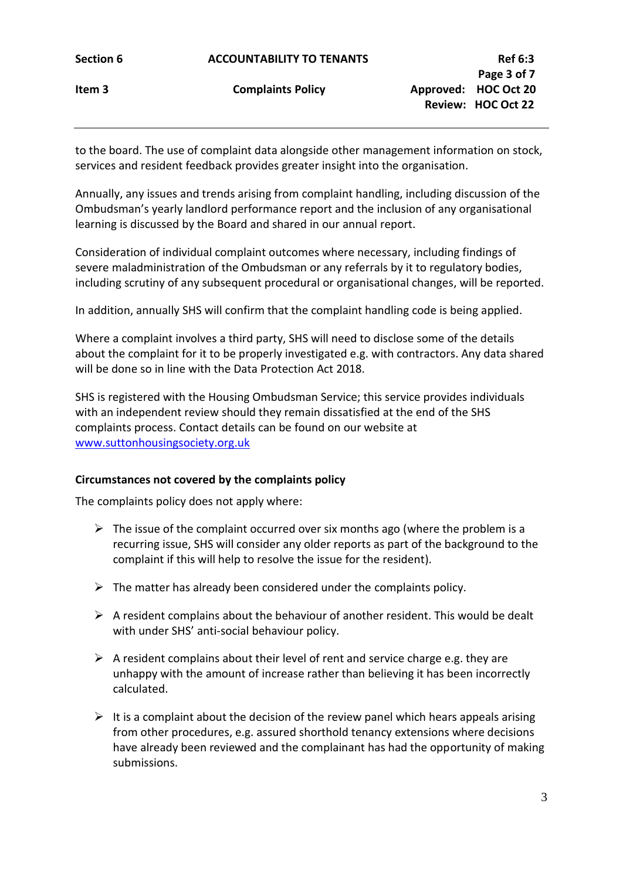to the board. The use of complaint data alongside other management information on stock, services and resident feedback provides greater insight into the organisation.

Annually, any issues and trends arising from complaint handling, including discussion of the Ombudsman's yearly landlord performance report and the inclusion of any organisational learning is discussed by the Board and shared in our annual report.

Consideration of individual complaint outcomes where necessary, including findings of severe maladministration of the Ombudsman or any referrals by it to regulatory bodies, including scrutiny of any subsequent procedural or organisational changes, will be reported.

In addition, annually SHS will confirm that the complaint handling code is being applied.

Where a complaint involves a third party, SHS will need to disclose some of the details about the complaint for it to be properly investigated e.g. with contractors. Any data shared will be done so in line with the Data Protection Act 2018.

SHS is registered with the Housing Ombudsman Service; this service provides individuals with an independent review should they remain dissatisfied at the end of the SHS complaints process. Contact details can be found on our website at [www.suttonhousingsociety.org.uk](http://www.suttonhousingsociety.org.uk/)

# **Circumstances not covered by the complaints policy**

The complaints policy does not apply where:

- $\triangleright$  The issue of the complaint occurred over six months ago (where the problem is a recurring issue, SHS will consider any older reports as part of the background to the complaint if this will help to resolve the issue for the resident).
- $\triangleright$  The matter has already been considered under the complaints policy.
- $\triangleright$  A resident complains about the behaviour of another resident. This would be dealt with under SHS' anti-social behaviour policy.
- $\triangleright$  A resident complains about their level of rent and service charge e.g. they are unhappy with the amount of increase rather than believing it has been incorrectly calculated.
- $\triangleright$  It is a complaint about the decision of the review panel which hears appeals arising from other procedures, e.g. assured shorthold tenancy extensions where decisions have already been reviewed and the complainant has had the opportunity of making submissions.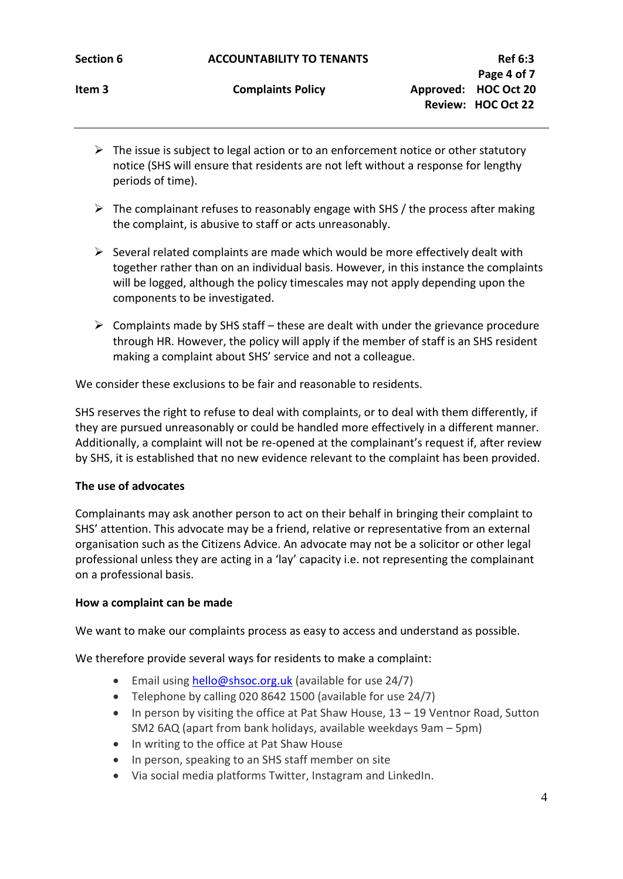| <b>Section 6</b> |  |
|------------------|--|
|                  |  |

- $\triangleright$  The issue is subject to legal action or to an enforcement notice or other statutory notice (SHS will ensure that residents are not left without a response for lengthy periods of time).
- $\triangleright$  The complainant refuses to reasonably engage with SHS / the process after making the complaint, is abusive to staff or acts unreasonably.
- $\triangleright$  Several related complaints are made which would be more effectively dealt with together rather than on an individual basis. However, in this instance the complaints will be logged, although the policy timescales may not apply depending upon the components to be investigated.
- $\triangleright$  Complaints made by SHS staff these are dealt with under the grievance procedure through HR. However, the policy will apply if the member of staff is an SHS resident making a complaint about SHS' service and not a colleague.

We consider these exclusions to be fair and reasonable to residents.

SHS reserves the right to refuse to deal with complaints, or to deal with them differently, if they are pursued unreasonably or could be handled more effectively in a different manner. Additionally, a complaint will not be re-opened at the complainant's request if, after review by SHS, it is established that no new evidence relevant to the complaint has been provided.

# **The use of advocates**

Complainants may ask another person to act on their behalf in bringing their complaint to SHS' attention. This advocate may be a friend, relative or representative from an external organisation such as the Citizens Advice. An advocate may not be a solicitor or other legal professional unless they are acting in a 'lay' capacity i.e. not representing the complainant on a professional basis.

# **How a complaint can be made**

We want to make our complaints process as easy to access and understand as possible.

We therefore provide several ways for residents to make a complaint:

- Email using [hello@shsoc.org.uk](mailto:hello@shsoc.org.uk) (available for use 24/7)
- Telephone by calling 020 8642 1500 (available for use 24/7)
- In person by visiting the office at Pat Shaw House, 13 19 Ventnor Road, Sutton SM2 6AQ (apart from bank holidays, available weekdays 9am – 5pm)
- In writing to the office at Pat Shaw House
- In person, speaking to an SHS staff member on site
- Via social media platforms Twitter, Instagram and LinkedIn.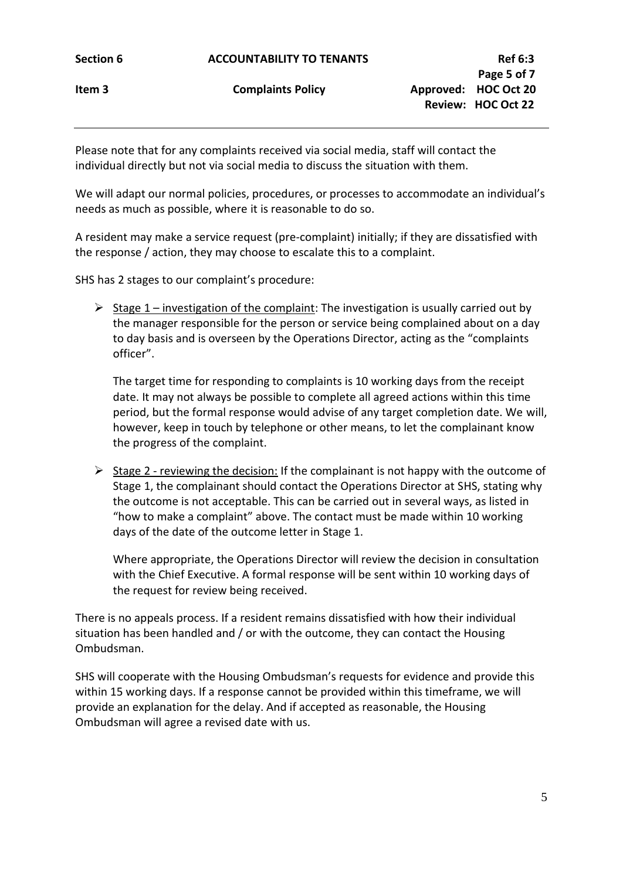Please note that for any complaints received via social media, staff will contact the individual directly but not via social media to discuss the situation with them.

We will adapt our normal policies, procedures, or processes to accommodate an individual's needs as much as possible, where it is reasonable to do so.

A resident may make a service request (pre-complaint) initially; if they are dissatisfied with the response / action, they may choose to escalate this to a complaint.

SHS has 2 stages to our complaint's procedure:

 $\triangleright$  Stage 1 – investigation of the complaint: The investigation is usually carried out by the manager responsible for the person or service being complained about on a day to day basis and is overseen by the Operations Director, acting as the "complaints officer".

The target time for responding to complaints is 10 working days from the receipt date. It may not always be possible to complete all agreed actions within this time period, but the formal response would advise of any target completion date. We will, however, keep in touch by telephone or other means, to let the complainant know the progress of the complaint.

 $\triangleright$  Stage 2 - reviewing the decision: If the complainant is not happy with the outcome of Stage 1, the complainant should contact the Operations Director at SHS, stating why the outcome is not acceptable. This can be carried out in several ways, as listed in "how to make a complaint" above. The contact must be made within 10 working days of the date of the outcome letter in Stage 1.

Where appropriate, the Operations Director will review the decision in consultation with the Chief Executive. A formal response will be sent within 10 working days of the request for review being received.

There is no appeals process. If a resident remains dissatisfied with how their individual situation has been handled and / or with the outcome, they can contact the Housing Ombudsman.

SHS will cooperate with the Housing Ombudsman's requests for evidence and provide this within 15 working days. If a response cannot be provided within this timeframe, we will provide an explanation for the delay. And if accepted as reasonable, the Housing Ombudsman will agree a revised date with us.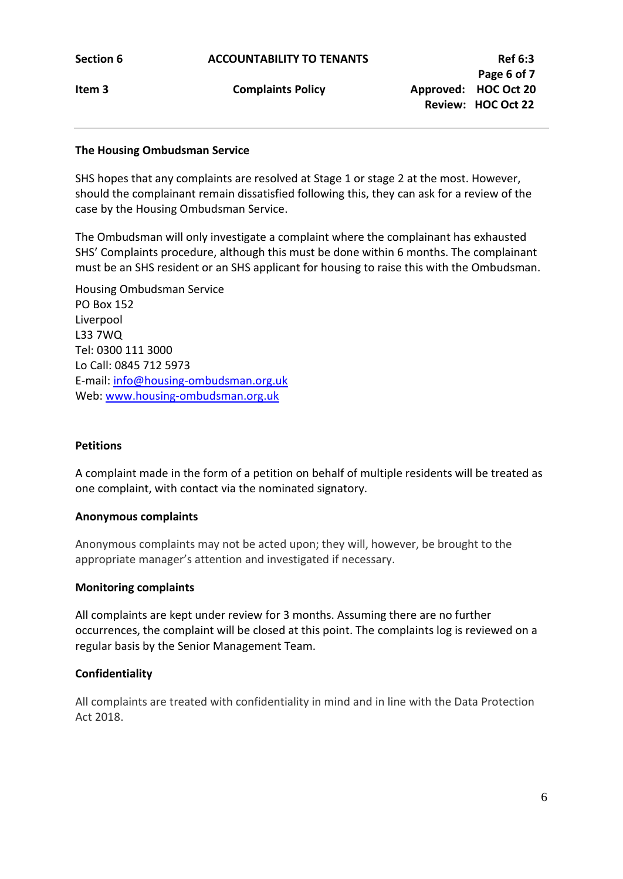### **The Housing Ombudsman Service**

SHS hopes that any complaints are resolved at Stage 1 or stage 2 at the most. However, should the complainant remain dissatisfied following this, they can ask for a review of the case by the Housing Ombudsman Service.

The Ombudsman will only investigate a complaint where the complainant has exhausted SHS' Complaints procedure, although this must be done within 6 months. The complainant must be an SHS resident or an SHS applicant for housing to raise this with the Ombudsman.

Housing Ombudsman Service PO Box 152 Liverpool L33 7WQ Tel: 0300 111 3000 Lo Call: 0845 712 5973 E-mail: [info@housing-ombudsman.org.uk](mailto:info@housing-ombudsman.org.uk) Web: [www.housing-ombudsman.org.uk](http://www.housing-ombudsman.org.uk/)

### **Petitions**

A complaint made in the form of a petition on behalf of multiple residents will be treated as one complaint, with contact via the nominated signatory.

#### **Anonymous complaints**

Anonymous complaints may not be acted upon; they will, however, be brought to the appropriate manager's attention and investigated if necessary.

#### **Monitoring complaints**

All complaints are kept under review for 3 months. Assuming there are no further occurrences, the complaint will be closed at this point. The complaints log is reviewed on a regular basis by the Senior Management Team.

#### **Confidentiality**

All complaints are treated with confidentiality in mind and in line with the Data Protection Act 2018.